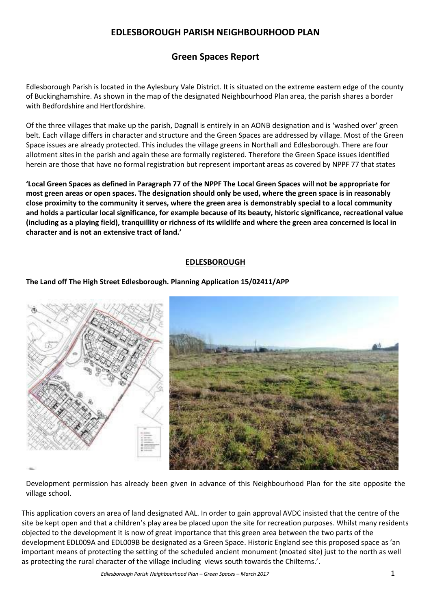## **Green Spaces Report**

Edlesborough Parish is located in the Aylesbury Vale District. It is situated on the extreme eastern edge of the county of Buckinghamshire. As shown in the map of the designated Neighbourhood Plan area, the parish shares a border with Bedfordshire and Hertfordshire.

Of the three villages that make up the parish, Dagnall is entirely in an AONB designation and is 'washed over' green belt. Each village differs in character and structure and the Green Spaces are addressed by village. Most of the Green Space issues are already protected. This includes the village greens in Northall and Edlesborough. There are four allotment sites in the parish and again these are formally registered. Therefore the Green Space issues identified herein are those that have no formal registration but represent important areas as covered by NPPF 77 that states

**'Local Green Spaces as defined in Paragraph 77 of the NPPF The Local Green Spaces will not be appropriate for most green areas or open spaces. The designation should only be used, where the green space is in reasonably close proximity to the community it serves, where the green area is demonstrably special to a local community and holds a particular local significance, for example because of its beauty, historic significance, recreational value (including as a playing field), tranquillity or richness of its wildlife and where the green area concerned is local in character and is not an extensive tract of land.'**

### **EDLESBOROUGH**

**The Land off The High Street Edlesborough. Planning Application 15/02411/APP**



Development permission has already been given in advance of this Neighbourhood Plan for the site opposite the village school.

This application covers an area of land designated AAL. In order to gain approval AVDC insisted that the centre of the site be kept open and that a children's play area be placed upon the site for recreation purposes. Whilst many residents objected to the development it is now of great importance that this green area between the two parts of the development EDL009A and EDL009B be designated as a Green Space. Historic England see this proposed space as 'an important means of protecting the setting of the scheduled ancient monument (moated site) just to the north as well as protecting the rural character of the village including views south towards the Chilterns.'.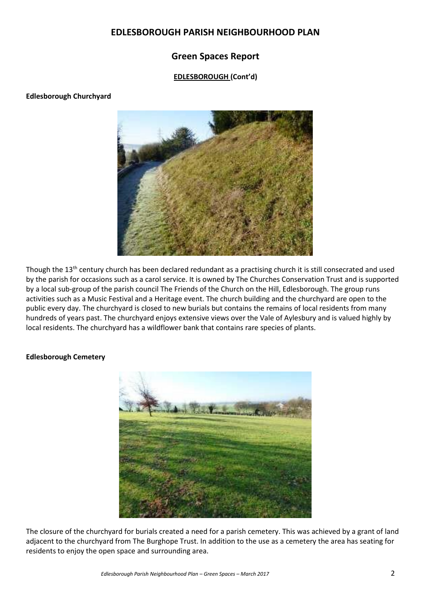## **Green Spaces Report**

### **EDLESBOROUGH (Cont'd)**

### **Edlesborough Churchyard**



Though the 13<sup>th</sup> century church has been declared redundant as a practising church it is still consecrated and used by the parish for occasions such as a carol service. It is owned by The Churches Conservation Trust and is supported by a local sub-group of the parish council The Friends of the Church on the Hill, Edlesborough. The group runs activities such as a Music Festival and a Heritage event. The church building and the churchyard are open to the public every day. The churchyard is closed to new burials but contains the remains of local residents from many hundreds of years past. The churchyard enjoys extensive views over the Vale of Aylesbury and is valued highly by local residents. The churchyard has a wildflower bank that contains rare species of plants.

### **Edlesborough Cemetery**



The closure of the churchyard for burials created a need for a parish cemetery. This was achieved by a grant of land adjacent to the churchyard from The Burghope Trust. In addition to the use as a cemetery the area has seating for residents to enjoy the open space and surrounding area.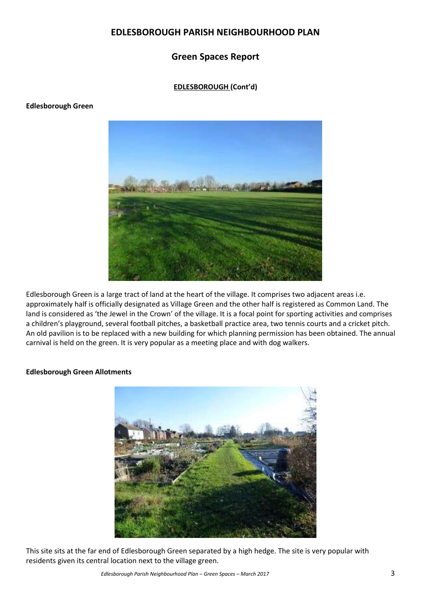## **Green Spaces Report**

### **EDLESBOROUGH (Cont'd)**

### **Edlesborough Green**



Edlesborough Green is a large tract of land at the heart of the village. It comprises two adjacent areas i.e. approximately half is officially designated as Village Green and the other half is registered as Common Land. The land is considered as 'the Jewel in the Crown' of the village. It is a focal point for sporting activities and comprises a children's playground, several football pitches, a basketball practice area, two tennis courts and a cricket pitch. An old pavilion is to be replaced with a new building for which planning permission has been obtained. The annual carnival is held on the green. It is very popular as a meeting place and with dog walkers.

### **Edlesborough Green Allotments**



This site sits at the far end of Edlesborough Green separated by a high hedge. The site is very popular with residents given its central location next to the village green.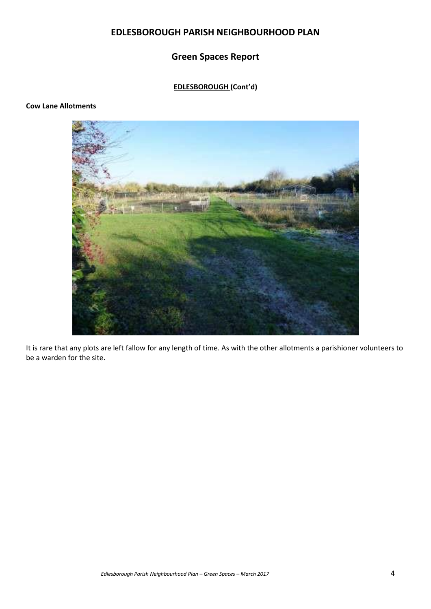# **Green Spaces Report**

# **EDLESBOROUGH (Cont'd)**

#### **Cow Lane Allotments**



It is rare that any plots are left fallow for any length of time. As with the other allotments a parishioner volunteers to be a warden for the site.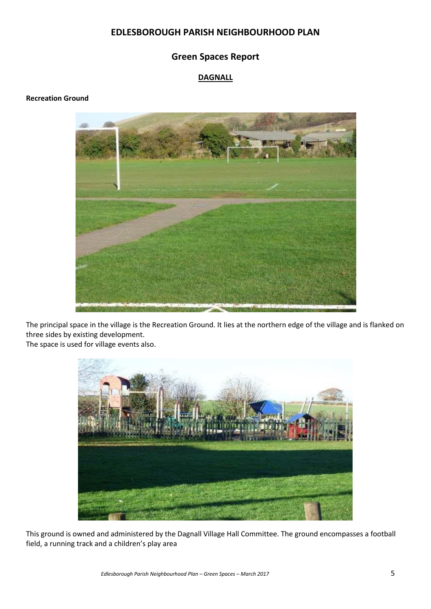## **Green Spaces Report**

### **DAGNALL**

### **Recreation Ground**



The principal space in the village is the Recreation Ground. It lies at the northern edge of the village and is flanked on three sides by existing development.

The space is used for village events also.



This ground is owned and administered by the Dagnall Village Hall Committee. The ground encompasses a football field, a running track and a children's play area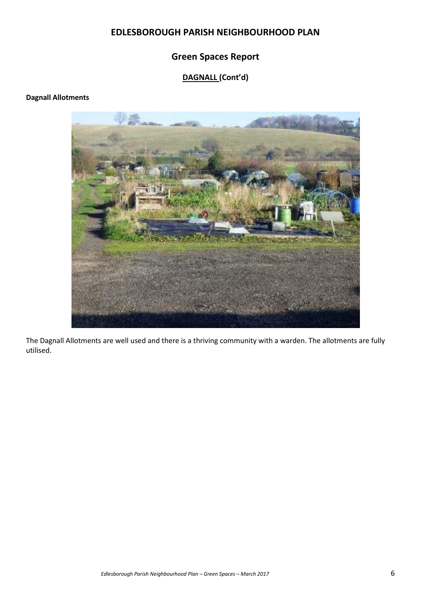# **Green Spaces Report**

# **DAGNALL (Cont'd)**

### **Dagnall Allotments**



The Dagnall Allotments are well used and there is a thriving community with a warden. The allotments are fully utilised.